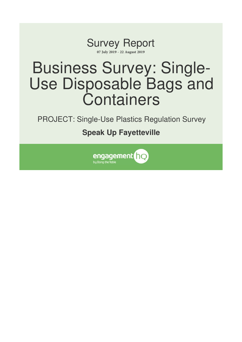

# Business Survey: Single-Use Disposable Bags and **Containers**

PROJECT: Single-Use Plastics Regulation Survey

# **Speak Up Fayetteville**

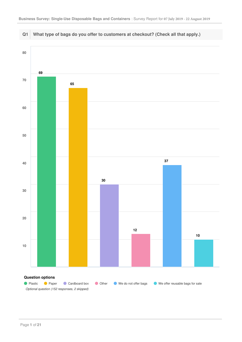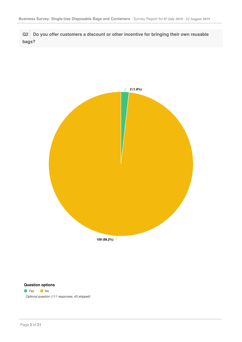**Q2 Do you offer customers a discount or other incentive for bringing their own reusable bags?**



### **Question options**

● Yes ● No *Optional question (111 responses, 43 skipped)*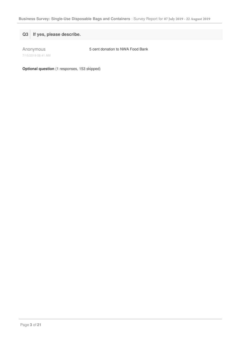**Q3 If yes, please describe.**

Anonymous

5 cent donation to NWA Food Bank

7/15/2019 08:41 AM

**Optional question** (1 responses, 153 skipped)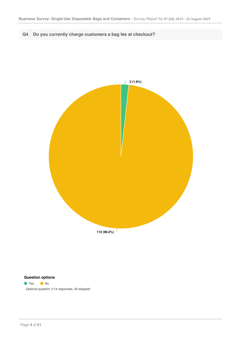**Q4 Do you currently charge customers a bag fee at checkout?**



#### **Question options**

# ● Yes ● No

*Optional question (114 responses, 40 skipped)*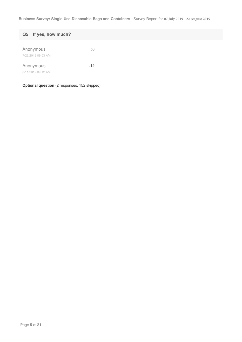| Q5 | If yes, how much?               |     |
|----|---------------------------------|-----|
|    | Anonymous<br>7/23/2019 09:53 AM | .50 |
|    | Anonymous                       | .15 |
|    | 8/11/2019 09:12 AM              |     |

**Optional question** (2 responses, 152 skipped)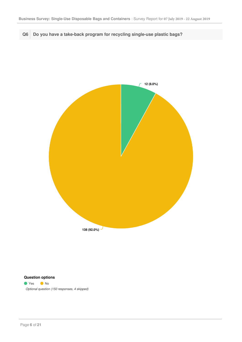**Q6 Do you have a take-back program for recycling single-use plastic bags?**



#### **Question options**

● Yes ● No *Optional question (150 responses, 4 skipped)*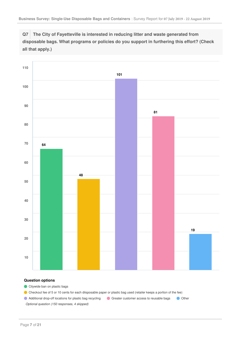**Q7 The City of Fayetteville is interested in reducing litter and waste generated from disposable bags. What programs or policies do you support in furthering this effort? (Check all that apply.)**



#### **Question options**

Citywide ban on plastic bags

Checkout fee of 5 or 10 cents for each diisposable paper or plastic bag used (retailer keeps a portion of the fee)

Additional drop-off locations for plastic bag recycling Greater customer access to reusable bags Other *Optional question (150 responses, 4 skipped)*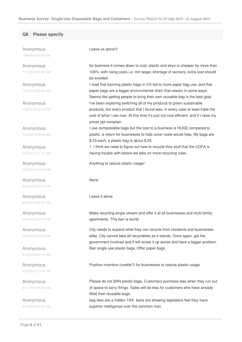#### **Q8 Please specify**

Anonymous 7/08/2019 07:54 PM

Anonymous 7/17/2019 07:46 AM

Anonymous 7/23/2019 08:08 AM

Anonymous 7/23/2019 05:19 PM

Anonymous 7/24/2019 05:58 AM

Anonymous 7/25/2019 11:17 AM

Anonymous 7/29/2019 04:09 PM

Anonymous 8/06/2019 05:47 PM

Anonymous 8/08/2019 08:31 PM

Anonymous 8/09/2019 03:10 PM

Anonymous 8/09/2019 03:18 PM

Anonymous 8/10/2019 07:13 AM

Anonymous 8/10/2019 12:14 PM

Anonymous 8/11/2019 05:06 AM

Anonymous 8/18/2019 06:37 AM Leave us alone!!!

for business it comes down to cost. plastic and stryo is cheaper by more than 100%. with rising costs i.e. min wage, shortage of workers, extra cost should be avoided.

I read that banning plastic bags in CA led to more paper bag use, and that paper bags are a bigger environmental drain than plastic in some ways. Seems like getting people to bring their own reusable bag is the best goal. I've been exploring switching all of my products to green sustainable products, but every product that I found was, in every case at least triple the cost of what I use now. At this time it's just not cost efficient, and if I raise my prices ppl complain

I use compostable bags but the cost to a business is HUGE compared to plastic. a return for businesses to help cover costs would help. My bags are \$.23 each, a plastic bag is about \$.05.

1. I think we need to figure out how to recycle they stuff that the UOFA is having trouble with before we take on more recycling rules.

Anything to reduce plastic usage!

#### None

Leave it alone

Make recycling single stream and offer it at all businesses and multi family apartments. This ban is dumb.

City needs to expand what they can recycle from residents and businesses alike. City cannot take all recyclables as it stands. Once again, get the government involved and it will screw it up worse and have a bigger problem. Ban single use plastic bags. Offer paper bags.

Positive incentive (credits?) for businesses to reduce plastic usage

Please do not BAN plastic bags. Customers purchase less when they run out of space to carry things. Sales will be less for customers who have already filled their reusable bags.

bag fees are a hidden TAX. bans are showing legislators feel they have superior intelligence over the common man.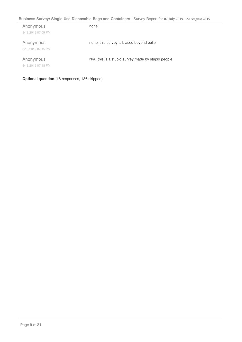## **Business Survey: Single-Use Disposable Bags and Containers** : Survey Report for **07 July 2019 - 22 August 2019**

| Anonymous          | none                                               |
|--------------------|----------------------------------------------------|
| 8/18/2019 07:09 PM |                                                    |
|                    |                                                    |
| Anonymous          | none. this survey is biased beyond belief          |
| 8/18/2019 07:15 PM |                                                    |
|                    |                                                    |
| Anonymous          | N/A. this is a stupid survey made by stupid people |
| 8/18/2019 07:18 PM |                                                    |
|                    |                                                    |

**Optional question** (18 responses, 136 skipped)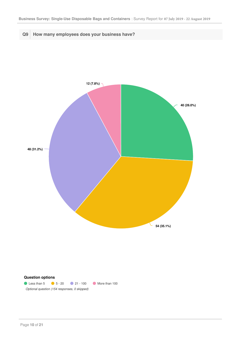**Q9 How many employees does your business have?**



#### **Question options**

**C** Less than 5 **C** 5 - 20 **C** 21 - 100 **C** More than 100 *Optional question (154 responses, 0 skipped)*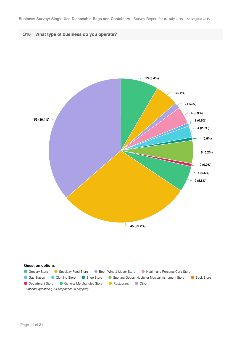

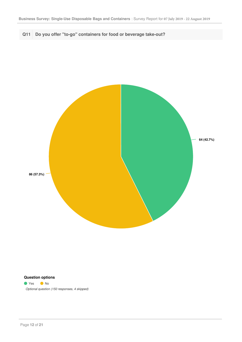



#### **Question options**

● Yes ● No *Optional question (150 responses, 4 skipped)*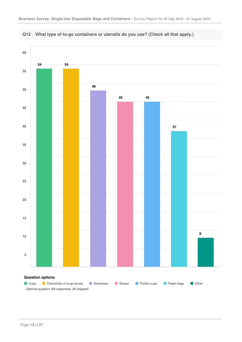



#### Page **13** of **21**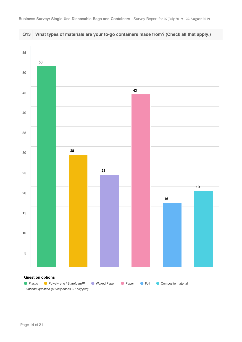

**Q13 What types of materials are your to-go containers made from? (Check all that apply.)**

#### Page **14** of **21**

*Optional question (63 responses, 91 skipped)*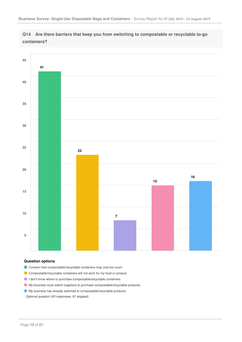



#### **Question options**

- Concern that compostable/recyclable containers may cost too much
- Compostable/recyclable containers will not work for my food or product.
- I don't know where to purchase compostable/recyclable containers
- My business must switch suppliers to purchase compostable/recyclable products.
- My business has already switched to compostable/recyclable products.

*Optional question (63 responses, 91 skipped)*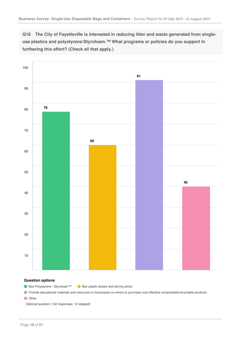**Q16 The City of Fayetteville is interested in reducing litter and waste generated from singleuse plastics and polystyrene/Styrofoam.™ What programs or policies do you support in furthering this effort? (Check all that apply.)**



#### **Question options**

● Ban Polystyrene / Styrofoam™ ● Ban plastic straws and stirring sticks

**O** Provide educational materials and resources to businesses on where to purchase cost-effective compostable/recyclable products

**O** Other

*Optional question (142 responses, 12 skipped)*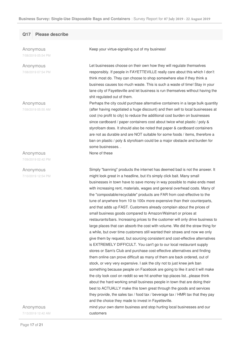#### **Q17 Please describe**

Anonymous 7/08/2019 05:54 PM

Anonymous

7/08/2019 07:54 PM

Anonymous

7/09/2019 05:55 AM

#### Anonymous

7/09/2019 02:42 PM

#### Anonymous

7/10/2019 12:54 PM

Keep your virtue-signaling out of my business!

Let businesses choose on their own how they will regulate themselves responsibly. If people in FAYETTEVILLE really care about this which I don't think most do. They can choose to shop somewhere else if they think a business causes too much waste. This is such a waste of time! Stay in your lane city of Fayetteville and let business is run themselves without having the shit regulated out of them.

Perhaps the city could purchase alternative containers in a large bulk quantity (after having negotiated a huge discount) and then sell to local businesses at cost (no profit to city) to reduce the additional cost burden on businesses since cardboard / paper containers cost about twice what plastic / poly & styrofoam does. It should also be noted that paper & cardboard containers are not as durable and are NOT suitable for some foods / items, therefore a ban on plastic / poly & styrofoam could be a major obstacle and burden for some businesses. .

None of these

customers

Simply "banning" products the internet has deemed bad is not the answer. It might look great in a headline, but it's simply click bait. Many small businesses in town have to save money in way possible to make ends meet with increasing rent, materials, wages and general overhead costs. Many of the "compostable/recyclable" products are FAR from cost-effective to the tune of anywhere from 10 to 100x more expensive than their counterparts, and that adds up FAST. Customers already complain about the prices of small business goods compared to Amazon/Walmart or prices at restaurants/bars. Increasing prices to the customer will only drive business to large places that can absorb the cost with volume. We did the straw thing for a while, but over time customers still wanted their straws and now we only give them by request, but sourcing consistent and cost-effective alternatives is EXTREMELY DIFFICULT. You can't go to our local restaurant supply stores or Sam's Club and purchase cost-effective alternatives and finding them online can prove difficult as many of them are back ordered, out of stock, or very very expensive. I ask the city not to just knee jerk ban something because people on Facebook are going to like it and it will make the city look cool on reddit so we hit another top places list...please think about the hard working small business people in town that are doing their best to ACTUALLY make this town great through the goods and services they provide, the sales tax / food tax / beverage tax / HMR tax that they pay and the choice they made to invest in Fayetteville. mind your own damn business and stop hurting local businesses and our

Anonymous 7/13/2019 12:42 AM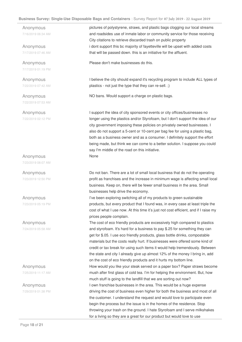#### **Business Survey: Single-Use Disposable Bags and Containers** : Survey Report for **07 July 2019 - 22 August 2019**

Anonymous 7/16/2019 06:34 AM

Anonymous 7/17/2019 07:46 AM

Anonymous 7/17/2019 01:19 PM

Anonymous 7/22/2019 07:42 AM

Anonymous 7/22/2019 07:53 AM

Anonymous 7/22/2019 02:12 PM

Anonymous

7/23/2019 08:07 AM

Anonymous 7/23/2019 12:50 PM

Anonymous 7/23/2019 05:19 PM

Anonymous 7/24/2019 05:58 AM

Anonymous 7/25/2019 11:17 AM

Anonymous 7/29/2019 01:38 PM pictures of polystyrene, straws, and plastic bags clogging our local streams and roadsides use of inmate labor or community service for those receiving City citations to retrieve discarded trash on public property i dont support this bc majority of fayetteville will be upset with added costs that will be passed down. this is an initiative for the affluent.

Please don't make businesses do this.

I believe the city should expand it's recycling program to include ALL types of plastics - not just the type that they can re-sell. ;)

NO bans. Would support a charge on plastic bags.

I support the idea of city sponsored events or city offices/businesses no longer using the plastics and/or Styrofoam, but I don't support the idea of our city government imposing these policies on privately owned businesses. I also do not support a 5-cent or 10-cent per bag fee for using a plastic bag, both as a business owner and as a consumer. I definitely support the effort being made, but think we can come to a better solution. I suppose you could say I'm middle of the road on this initiative. None

Do not ban. There are a lot of small local business that do not the operating profit as franchises and the increase in minimum wage is affecting small local business. Keep on, there will be fewer small business in the area. Small businesses help drive the economy.

I've been exploring switching all of my products to green sustainable products, but every product that I found was, in every case at least triple the cost of what I use now. At this time it's just not cost efficient, and if I raise my prices people complain.

The cost of eco friendly products are excessively high compared to plastics and styrofoam. It's hard for a business to pay \$.25 for something they can get for \$.05. I use eco friendly products, glass bottle drinks, compostable materials but the costs really hurt. If businesses were offered some kind of credit or tax break for using such items it would help tremendously. Between the state and city I already give up almost 12% of the money I bring in, add on the cost of eco friendly products and it hurts my bottom line. How would you like your steak served on a paper box? Paper straws become mush after first glass of cold tea. I'm for helping the environment. But, how much stuff is going to the landfill that we are sorting out now? I own franchise businesses in the area. This would be a huge expense driving the cost of business even higher for both the business and most of all the customer. I understand the request and would love to participate even begin the process but the issue is in the homes of the residence. Stop throwing your trash on the ground. I hate Styrofoam and I serve milkshakes for a living so they are a great for our product but would love to use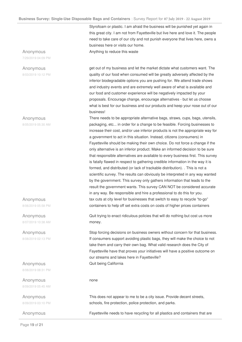Styrofoam or plastic. I am afraid the business will be punished yet again in this great city. I am not from Fayetteville but live here and love it. The people need to take care of our city and not punish everyone that lives here, owns a business here or visits our home.

Anything to reduce this waste

get out of my business and let the market dictate what customers want. The quality of our food when consumed will be greatly adversely affected by the inferior biodegradable options you are pushing for. We attend trade shows and industry events and are extremely well aware of what is available and our food and customer experience will be negatively impacted by your proposals. Encourage change, encourage alternatives - but let us choose what is best for our business and our products and keep your nose out of our business!

There needs to be appropriate alternative bags, straws, cups, bags, utensils, packaging, etc... in order for a change to be feasible. Forcing businesses to increase their cost, and/or use inferior products is not the appropriate way for a government to act in this situation. Instead, citizens (consumers) in Fayetteville should be making their own choice. Do not force a change if the only alternative is an inferior product. Make an informed decision to be sure that responsible alternatives are available to every business first. This survey is fatally flawed in respect to gathering credible information in the way it is formed, and distributed (or lack of trackable distribution). . This is not a scientific survey. The results can obviously be interpreted in any way wanted by the government. This survey only gathers information that leads to the result the government wants. This survey CAN NOT be considered accurate in any way. Be responsible and hire a professional to do this for you. tax cuts at city level for businesses that switch to easy to recycle "to-go" containers to help off set extra costs on costs of higher prices containers

Quit trying to enact ridiculous policies that will do nothing but cost us more money.

Stop forcing decisions on business owners without concern for that business. If consumers support avoiding plastic bags, they will make the choice to not take them and carry their own bag. What valid research does the City of Fayetteville have that proves your initiatives will have a positive outcome on our streams and lakes here in Fayetteville? Quit being California

#### none

This does not appear to me to be a city issue. Provide decent streets, schools, fire protection, police protection, and parks.

Anonymous Fayetteville needs to have recycling for all plastics and containers that are

#### Anonymous

7/29/2019 04:09 PM

#### Anonymous

8/03/2019 10:12 PM

Anonymous

8/05/2019 05:30 AM

Anonymous 8/06/2019 05:58 PM

Anonymous 8/07/2019 10:38 AM

Anonymous 8/08/2019 02:13 PM

Anonymous 8/08/2019 08:31 PM

Anonymous 8/09/2019 05:45 AM

Anonymous 8/09/2019 03:10 PM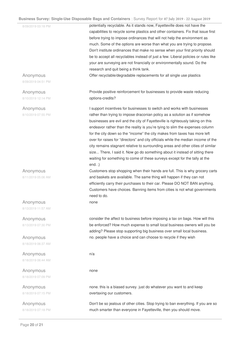#### **Business Survey: Single-Use Disposable Bags and Containers** : Survey Report for **07 July 2019 - 22 August 2019**

|                    | usiness Survey: Single-Use Disposable Bags and Containers : Survey Report for 07 July 2019 - 22 August 2019<br>potentially recyclable. As it stands now, Fayetteville does not have the |
|--------------------|-----------------------------------------------------------------------------------------------------------------------------------------------------------------------------------------|
| 8/09/2019 03:18 PM | capabilities to recycle some plastics and other containers. Fix that issue first                                                                                                        |
|                    | before trying to impose ordinances that will not help the environment as                                                                                                                |
|                    | much. Some of the options are worse than what you are trying to propose.                                                                                                                |
|                    |                                                                                                                                                                                         |
|                    | Don't institute ordinances that make no sense when your first priority should                                                                                                           |
|                    | be to accept all recyclables instead of just a few. Liberal policies or rules like                                                                                                      |
|                    | your are surveying are not financially or environmentally sound. Do the                                                                                                                 |
|                    | research and quit being a think tank.                                                                                                                                                   |
| Anonymous          | Offer recyclable/degradable replacements for all single use plastics                                                                                                                    |
| 8/09/2019 04:51 PM |                                                                                                                                                                                         |
| Anonymous          | Provide positive reinforcement for businesses to provide waste reducing                                                                                                                 |
| 8/10/2019 12:14 PM | options-credits?                                                                                                                                                                        |
| Anonymous          | I support incentives for businesses to switch and works with businesses                                                                                                                 |
| 8/10/2019 07:55 PM | rather than trying to impose draconian policy as a solution as if somehow                                                                                                               |
|                    | businesses are evil and the city of Fayetteville is righteously taking on this                                                                                                          |
|                    | endeavor rather than the reality is you're tying to slim the expenses column                                                                                                            |
|                    | for the city down so the "income" the city makes from taxes has more left                                                                                                               |
|                    | over for raises for "directors" and city officials while the median income of the                                                                                                       |
|                    | city remains stagnant relative to surrounding areas and other cities of similar                                                                                                         |
|                    | size There, I said it. Now go do something about it instead of sitting there                                                                                                            |
|                    |                                                                                                                                                                                         |
|                    | waiting for something to come of these surveys except for the tally at the                                                                                                              |
|                    | $end:$ ;)                                                                                                                                                                               |
| Anonymous          | Customers stop shopping when their hands are full. This is why grocery carts                                                                                                            |
| 8/11/2019 05:06 AM | and baskets are available. The same thing will happen if they can not                                                                                                                   |
|                    | efficiently carry their purchases to their car. Please DO NOT BAN anything.                                                                                                             |
|                    | Customers have choices. Banning items from cities is not what governments                                                                                                               |
|                    | need to do.                                                                                                                                                                             |
| Anonymous          | none                                                                                                                                                                                    |
| 8/13/2019 11:57 AM |                                                                                                                                                                                         |
| Anonymous          | consider the affect to business before imposing a tax on bags. How will this                                                                                                            |
| 8/13/2019 07:30 PM | be enforced? How much expense to small local business owners will you be                                                                                                                |
|                    | adding? Please stop supporting big business over small local business.                                                                                                                  |
| Anonymous          | no. people have a choice and can choose to recycle if they wish                                                                                                                         |
| 8/18/2019 06:37 AM |                                                                                                                                                                                         |
| Anonymous          | n/a                                                                                                                                                                                     |
| 8/18/2019 06:44 AM |                                                                                                                                                                                         |
| Anonymous          | none                                                                                                                                                                                    |
| 8/18/2019 07:09 PM |                                                                                                                                                                                         |
| Anonymous          | none. this is a biased survey. just do whatever you want to and keep                                                                                                                    |
| 8/18/2019 07:15 PM | overtaxing our customers.                                                                                                                                                               |

Don't be so jealous of other cities. Stop trying to ban everything. If you are so

much smarter than everyone in Fayetteville, then you should move.

Anonymous 8/18/2019 07:18 PM

÷